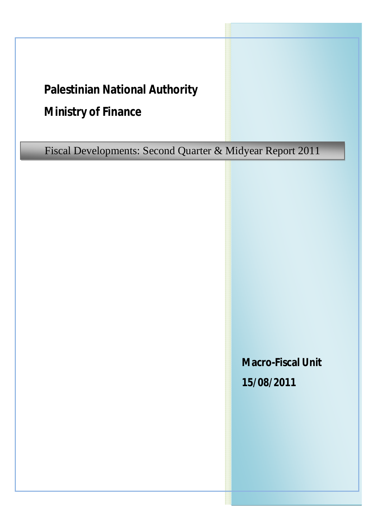# **Palestinian National Authority**

## **Ministry of Finance**

Fiscal Developments: Second Quarter & Midyear Report 2011

**Macro-Fiscal Unit 15/08/2011**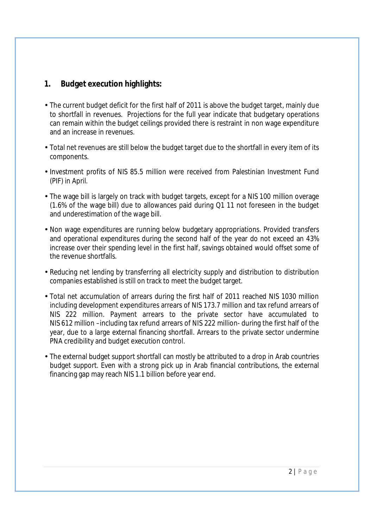### **1. Budget execution highlights:**

- The current budget deficit for the first half of 2011 is above the budget target, mainly due to shortfall in revenues. Projections for the full year indicate that budgetary operations can remain within the budget ceilings provided there is restraint in non wage expenditure and an increase in revenues.
- Total net revenues are still below the budget target due to the shortfall in every item of its components.
- Investment profits of NIS 85.5 million were received from Palestinian Investment Fund (PIF) in April.
- The wage bill is largely on track with budget targets, except for a NIS 100 million overage (1.6% of the wage bill) due to allowances paid during Q1 11 not foreseen in the budget and underestimation of the wage bill.
- Non wage expenditures are running below budgetary appropriations. Provided transfers and operational expenditures during the second half of the year do not exceed an 43% increase over their spending level in the first half, savings obtained would offset some of the revenue shortfalls.
- Reducing net lending by transferring all electricity supply and distribution to distribution companies established is still on track to meet the budget target.
- Total net accumulation of arrears during the first half of 2011 reached NIS 1030 million including development expenditures arrears of NIS 173.7 million and tax refund arrears of NIS 222 million. Payment arrears to the private sector have accumulated to NIS 612 million –including tax refund arrears of NIS 222 million- during the first half of the year, due to a large external financing shortfall. Arrears to the private sector undermine PNA credibility and budget execution control.
- The external budget support shortfall can mostly be attributed to a drop in Arab countries budget support. Even with a strong pick up in Arab financial contributions, the external financing gap may reach NIS 1.1 billion before year end.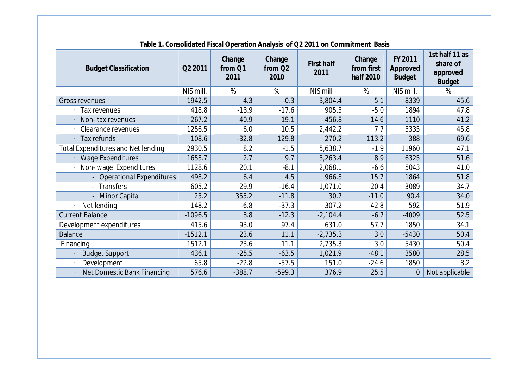| Table 1. Consolidated Fiscal Operation Analysis of Q2 2011 on Commitment Basis |           |                           |                                       |                    |                                   |                                      |                                                         |
|--------------------------------------------------------------------------------|-----------|---------------------------|---------------------------------------|--------------------|-----------------------------------|--------------------------------------|---------------------------------------------------------|
| <b>Budget Classification</b>                                                   | Q2 2011   | Change<br>from Q1<br>2011 | Change<br>from Q <sub>2</sub><br>2010 | First half<br>2011 | Change<br>from first<br>half 2010 | FY 2011<br>Approved<br><b>Budget</b> | 1st half 11 as<br>share of<br>approved<br><b>Budget</b> |
|                                                                                | NIS mill. | %                         | %                                     | NIS mill           | %                                 | NIS mill.                            | %                                                       |
| <b>Gross revenues</b>                                                          | 1942.5    | 4.3                       | $-0.3$                                | 3,804.4            | 5.1                               | 8339                                 | 45.6                                                    |
| Tax revenues                                                                   | 418.8     | $-13.9$                   | $-17.6$                               | 905.5              | $-5.0$                            | 1894                                 | 47.8                                                    |
| Non-tax revenues                                                               | 267.2     | 40.9                      | 19.1                                  | 456.8              | 14.6                              | 1110                                 | 41.2                                                    |
| Clearance revenues                                                             | 1256.5    | 6.0                       | 10.5                                  | 2,442.2            | 7.7                               | 5335                                 | 45.8                                                    |
| <b>Tax refunds</b>                                                             | 108.6     | $-32.8$                   | 129.8                                 | 270.2              | 113.2                             | 388                                  | 69.6                                                    |
| <b>Total Expenditures and Net lending</b>                                      | 2930.5    | 8.2                       | $-1.5$                                | 5,638.7            | $-1.9$                            | 11960                                | 47.1                                                    |
| <b>Wage Expenditures</b>                                                       | 1653.7    | 2.7                       | 9.7                                   | 3,263.4            | 8.9                               | 6325                                 | 51.6                                                    |
| Non-wage Expenditures                                                          | 1128.6    | 20.1                      | $-8.1$                                | 2,068.1            | $-6.6$                            | 5043                                 | 41.0                                                    |
| - Operational Expenditures                                                     | 498.2     | 6.4                       | 4.5                                   | 966.3              | 15.7                              | 1864                                 | 51.8                                                    |
| - Transfers                                                                    | 605.2     | 29.9                      | $-16.4$                               | 1,071.0            | $-20.4$                           | 3089                                 | 34.7                                                    |
| - Minor Capital                                                                | 25.2      | 355.2                     | $-11.8$                               | 30.7               | $-11.0$                           | 90.4                                 | 34.0                                                    |
| Net lending                                                                    | 148.2     | $-6.8$                    | $-37.3$                               | 307.2              | $-42.8$                           | 592                                  | 51.9                                                    |
| <b>Current Balance</b>                                                         | $-1096.5$ | 8.8                       | $-12.3$                               | $-2,104.4$         | $-6.7$                            | $-4009$                              | 52.5                                                    |
| Development expenditures                                                       | 415.6     | 93.0                      | 97.4                                  | 631.0              | 57.7                              | 1850                                 | 34.1                                                    |
| <b>Balance</b>                                                                 | $-1512.1$ | 23.6                      | 11.1                                  | $-2,735.3$         | 3.0                               | $-5430$                              | 50.4                                                    |
| Financing                                                                      | 1512.1    | 23.6                      | 11.1                                  | 2,735.3            | 3.0                               | 5430                                 | 50.4                                                    |
| <b>Budget Support</b>                                                          | 436.1     | $-25.5$                   | $-63.5$                               | 1,021.9            | $-48.1$                           | 3580                                 | 28.5                                                    |
| Development                                                                    | 65.8      | $-22.8$                   | $-57.5$                               | 151.0              | $-24.6$                           | 1850                                 | 8.2                                                     |
| <b>Net Domestic Bank Financing</b>                                             | 576.6     | $-388.7$                  | $-599.3$                              | 376.9              | 25.5                              | $\bf{0}$                             | Not applicable                                          |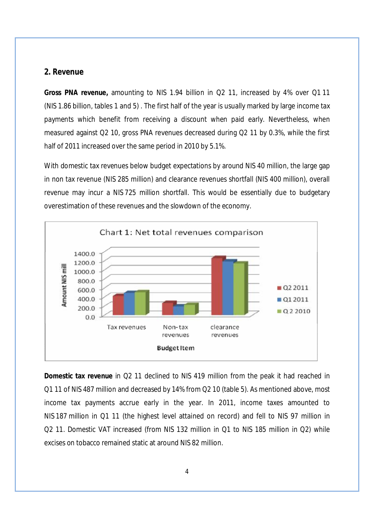#### **2. Revenue**

**Gross PNA revenue,** amounting to NIS 1.94 billion in Q2 11, increased by 4% over Q1 11 (NIS 1.86 billion, tables 1 and 5) . The first half of the year is usually marked by large income tax payments which benefit from receiving a discount when paid early. Nevertheless, when measured against Q2 10, gross PNA revenues decreased during Q2 11 by 0.3%, while the first half of 2011 increased over the same period in 2010 by 5.1%.

With domestic tax revenues below budget expectations by around NIS 40 million, the large gap in non tax revenue (NIS 285 million) and clearance revenues shortfall (NIS 400 million), overall revenue may incur a NIS 725 million shortfall. This would be essentially due to budgetary overestimation of these revenues and the slowdown of the economy.



**Domestic tax revenue** in Q2 11 declined to NIS 419 million from the peak it had reached in Q1 11 of NIS 487 million and decreased by 14% from Q2 10 (table 5). As mentioned above, most income tax payments accrue early in the year. In 2011, income taxes amounted to NIS 187 million in Q1 11 (the highest level attained on record) and fell to NIS 97 million in Q2 11. Domestic VAT increased (from NIS 132 million in Q1 to NIS 185 million in Q2) while excises on tobacco remained static at around NIS 82 million.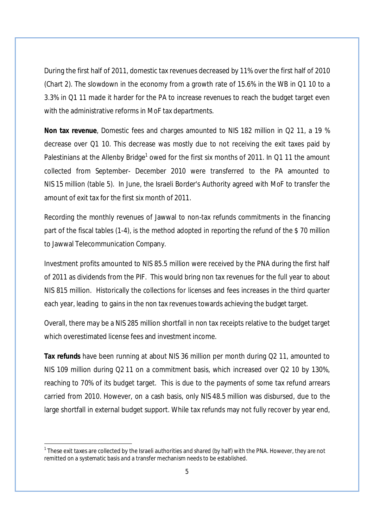During the first half of 2011, domestic tax revenues decreased by 11% over the first half of 2010 (Chart 2). The slowdown in the economy from a growth rate of 15.6% in the WB in Q1 10 to a 3.3% in Q1 11 made it harder for the PA to increase revenues to reach the budget target even with the administrative reforms in MoF tax departments.

**Non tax revenue**, Domestic fees and charges amounted to NIS 182 million in Q2 11, a 19 % decrease over Q1 10. This decrease was mostly due to not receiving the exit taxes paid by Palestinians at the Allenby Bridge<sup>1</sup> owed for the first six months of 2011. In Q1 11 the amount collected from September- December 2010 were transferred to the PA amounted to NIS 15 million (table 5). In June, the Israeli Border's Authority agreed with MoF to transfer the amount of exit tax for the first six month of 2011.

Recording the monthly revenues of Jawwal to non-tax refunds commitments in the financing part of the fiscal tables (1-4), is the method adopted in reporting the refund of the \$ 70 million to Jawwal Telecommunication Company.

Investment profits amounted to NIS 85.5 million were received by the PNA during the first half of 2011 as dividends from the PIF. This would bring non tax revenues for the full year to about NIS 815 million. Historically the collections for licenses and fees increases in the third quarter each year, leading to gains in the non tax revenues towards achieving the budget target.

Overall, there may be a NIS 285 million shortfall in non tax receipts relative to the budget target which overestimated license fees and investment income.

**Tax refunds** have been running at about NIS 36 million per month during Q2 11, amounted to NIS 109 million during Q2 11 on a commitment basis, which increased over Q2 10 by 130%, reaching to 70% of its budget target. This is due to the payments of some tax refund arrears carried from 2010. However, on a cash basis, only NIS 48.5 million was disbursed, due to the large shortfall in external budget support. While tax refunds may not fully recover by year end,

 $\overline{\phantom{a}}$ 

 $^{\rm 1}$  These exit taxes are collected by the Israeli authorities and shared (by half) with the PNA. However, they are not remitted on a systematic basis and a transfer mechanism needsto be established.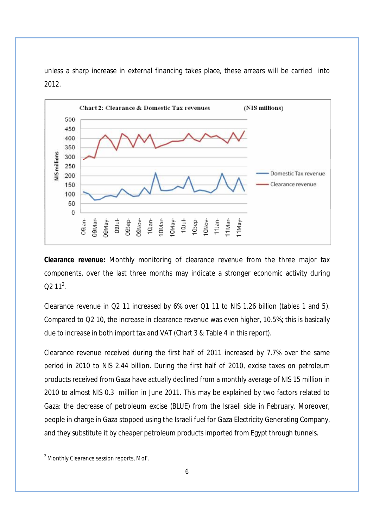

unless a sharp increase in external financing takes place, these arrears will be carried into 2012.

**Clearance revenue:** Monthly monitoring of clearance revenue from the three major tax components, over the last three months may indicate a stronger economic activity during  $Q2 11^2$ .

Clearance revenue in Q2 11 increased by 6% over Q1 11 to NIS 1.26 billion (tables 1 and 5). Compared to Q2 10, the increase in clearance revenue was even higher, 10.5%; this is basically due to increase in both import tax and VAT (Chart 3 & Table 4 in this report).

Clearance revenue received during the first half of 2011 increased by 7.7% over the same period in 2010 to NIS 2.44 billion. During the first half of 2010, excise taxes on petroleum products received from Gaza have actually declined from a monthly average of NIS 15 million in 2010 to almost NIS 0.3 million in June 2011. This may be explained by two factors related to Gaza: the decrease of petroleum excise (BLUE) from the Israeli side in February. Moreover, people in charge in Gaza stopped using the Israeli fuel for Gaza Electricity Generating Company, and they substitute it by cheaper petroleum products imported from Egypt through tunnels.

 $\overline{\phantom{a}}$ 

<sup>2</sup> Monthly Clearance session reports, MoF.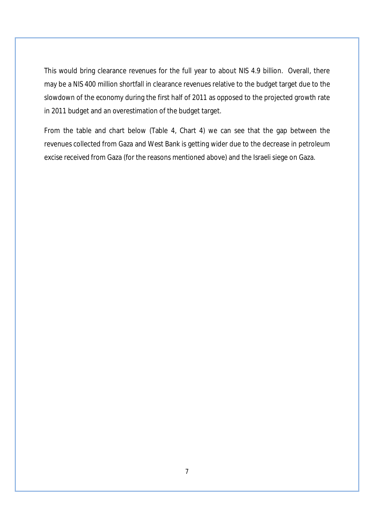This would bring clearance revenues for the full year to about NIS 4.9 billion. Overall, there may be a NIS 400 million shortfall in clearance revenues relative to the budget target due to the slowdown of the economy during the first half of 2011 as opposed to the projected growth rate in 2011 budget and an overestimation of the budget target.

From the table and chart below (Table 4, Chart 4) we can see that the gap between the revenues collected from Gaza and West Bank is getting wider due to the decrease in petroleum excise received from Gaza (for the reasons mentioned above) and the Israeli siege on Gaza.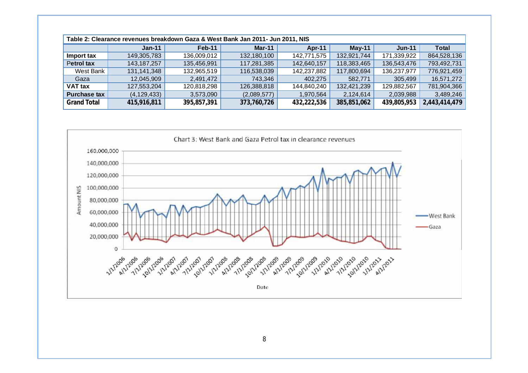| Table 2: Clearance revenues breakdown Gaza & West Bank Jan 2011- Jun 2011, NIS |               |             |             |             |               |             |               |
|--------------------------------------------------------------------------------|---------------|-------------|-------------|-------------|---------------|-------------|---------------|
|                                                                                | $Jan-11$      | Feb-11      | Mar-11      | Apr-11      | <b>May-11</b> | $Jun-11$    | <b>Total</b>  |
| Import tax                                                                     | 149,305,783   | 136.009.012 | 132,180,100 | 142,771,575 | 132,921,744   | 171,339,922 | 864,528,136   |
| Petrol tax                                                                     | 143, 187, 257 | 135,456,991 | 117,281,385 | 142,640,157 | 118,383,465   | 136,543,476 | 793,492,731   |
| West Bank                                                                      | 131,141,348   | 132,965,519 | 116,538,039 | 142,237,882 | 117,800,694   | 136,237,977 | 776,921,459   |
| Gaza                                                                           | 12,045,909    | 2,491,472   | 743,346     | 402,275     | 582,771       | 305,499     | 16,571,272    |
| VAT tax                                                                        | 127,553,204   | 120,818,298 | 126,388,818 | 144,840,240 | 132,421,239   | 129,882,567 | 781,904,366   |
| <b>Purchase tax</b>                                                            | (4, 129, 433) | 3,573,090   | (2,089,577) | 1,970,564   | 2,124,614     | 2,039,988   | 3,489,246     |
| <b>Grand Total</b>                                                             | 415,916,811   | 395,857,391 | 373,760,726 | 432,222,536 | 385,851,062   | 439,805,953 | 2,443,414,479 |

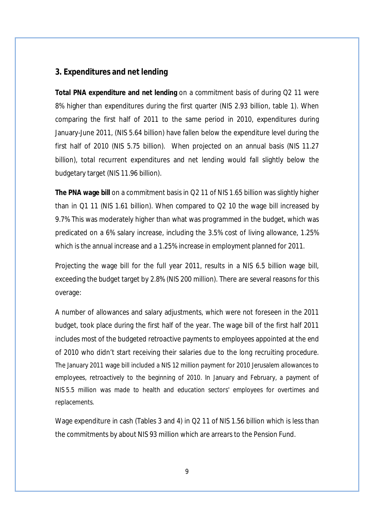#### **3. Expenditures and net lending**

**Total PNA expenditure and net lending** on a commitment basis of during Q2 11 were 8% higher than expenditures during the first quarter (NIS 2.93 billion, table 1). When comparing the first half of 2011 to the same period in 2010, expenditures during January-June 2011, (NIS 5.64 billion) have fallen below the expenditure level during the first half of 2010 (NIS 5.75 billion). When projected on an annual basis (NIS 11.27 billion), total recurrent expenditures and net lending would fall slightly below the budgetary target (NIS 11.96 billion).

**The PNA wage bill** on a commitment basis in Q2 11 of NIS 1.65 billion was slightly higher than in Q1 11 (NIS 1.61 billion). When compared to Q2 10 the wage bill increased by 9.7% This was moderately higher than what was programmed in the budget, which was predicated on a 6% salary increase, including the 3.5% cost of living allowance, 1.25% which is the annual increase and a 1.25% increase in employment planned for 2011.

Projecting the wage bill for the full year 2011, results in a NIS 6.5 billion wage bill, exceeding the budget target by 2.8% (NIS 200 million). There are several reasons for this overage:

A number of allowances and salary adjustments, which were not foreseen in the 2011 budget, took place during the first half of the year. The wage bill of the first half 2011 includes most of the budgeted retroactive payments to employees appointed at the end of 2010 who didn't start receiving their salaries due to the long recruiting procedure. The January 2011 wage bill included a NIS 12 million payment for 2010 Jerusalem allowances to employees, retroactively to the beginning of 2010. In January and February, a payment of NIS 5.5 million was made to health and education sectors' employees for overtimes and replacements.

Wage expenditure in cash (Tables 3 and 4) in Q2 11 of NIS 1.56 billion which is less than the commitments by about NIS 93 million which are arrears to the Pension Fund.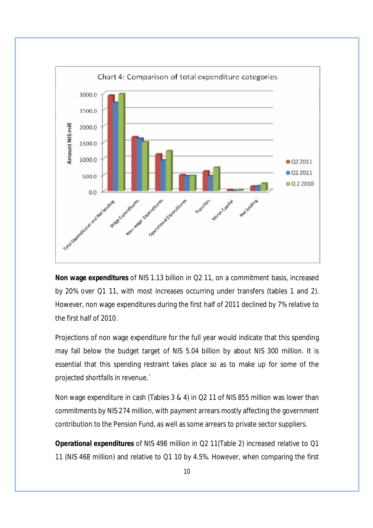

**Non wage expenditures** of NIS 1.13 billion in Q2 11, on a commitment basis, increased by 20% over Q1 11, with most increases occurring under transfers (tables 1 and 2). However, non wage expenditures during the first half of 2011 declined by 7% relative to the first half of 2010.

Projections of non wage expenditure for the full year would indicate that this spending may fall below the budget target of NIS 5.04 billion by about NIS 300 million. It is essential that this spending restraint takes place so as to make up for some of the projected shortfalls in revenue.`

Non wage expenditure in cash (Tables 3 & 4) in Q2 11 of NIS 855 million was lower than commitments by NIS 274 million, with payment arrears mostly affecting the government contribution to the Pension Fund, as well as some arrears to private sector suppliers.

**Operational expenditures** of NIS 498 million in Q2 11(Table 2) increased relative to Q1 11 (NIS 468 million) and relative to Q1 10 by 4.5%. However, when comparing the first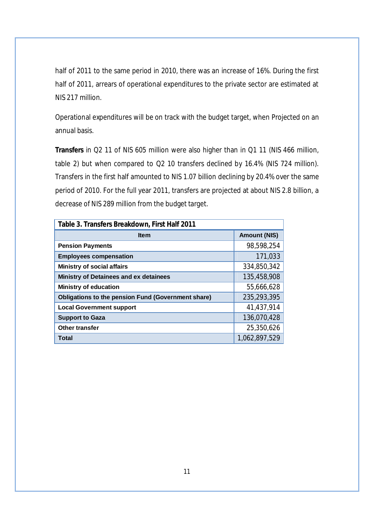half of 2011 to the same period in 2010, there was an increase of 16%. During the first half of 2011, arrears of operational expenditures to the private sector are estimated at NIS 217 million.

Operational expenditures will be on track with the budget target, when Projected on an annual basis.

**Transfers** in Q2 11 of NIS 605 million were also higher than in Q1 11 (NIS 466 million, table 2) but when compared to Q2 10 transfers declined by 16.4% (NIS 724 million). Transfers in the first half amounted to NIS 1.07 billion declining by 20.4% over the same period of 2010. For the full year 2011, transfers are projected at about NIS 2.8 billion, a decrease of NIS 289 million from the budget target.

| Table 3. Transfers Breakdown, First Half 2011             |                     |  |  |  |
|-----------------------------------------------------------|---------------------|--|--|--|
| <b>Item</b>                                               | <b>Amount (NIS)</b> |  |  |  |
| <b>Pension Payments</b>                                   | 98,598,254          |  |  |  |
| <b>Employees compensation</b>                             | 171,033             |  |  |  |
| <b>Ministry of social affairs</b>                         | 334,850,342         |  |  |  |
| Ministry of Detainees and ex detainees                    | 135,458,908         |  |  |  |
| <b>Ministry of education</b>                              | 55,666,628          |  |  |  |
| <b>Obligations to the pension Fund (Government share)</b> | 235,293,395         |  |  |  |
| <b>Local Government support</b>                           | 41,437,914          |  |  |  |
| <b>Support to Gaza</b>                                    | 136,070,428         |  |  |  |
| Other transfer                                            | 25,350,626          |  |  |  |
| Total                                                     | 1,062,897,529       |  |  |  |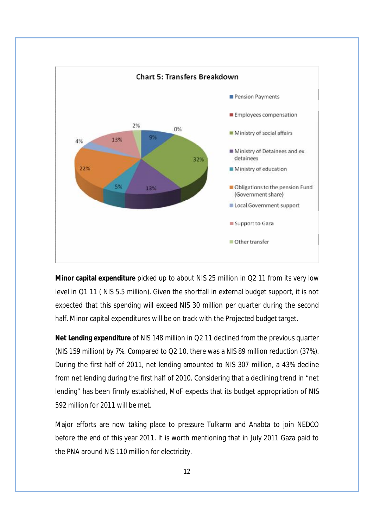

**Minor capital expenditure** picked up to about NIS 25 million in Q2 11 from its very low level in Q1 11 ( NIS 5.5 million). Given the shortfall in external budget support, it is not expected that this spending will exceed NIS 30 million per quarter during the second half. Minor capital expenditures will be on track with the Projected budget target.

**Net Lending expenditure** of NIS 148 million in Q2 11 declined from the previous quarter (NIS 159 million) by 7%. Compared to Q2 10, there was a NIS 89 million reduction (37%). During the first half of 2011, net lending amounted to NIS 307 million, a 43% decline from net lending during the first half of 2010. Considering that a declining trend in "net lending" has been firmly established, MoF expects that its budget appropriation of NIS 592 million for 2011 will be met.

Major efforts are now taking place to pressure Tulkarm and Anabta to join NEDCO before the end of this year 2011. It is worth mentioning that in July 2011 Gaza paid to the PNA around NIS 110 million for electricity.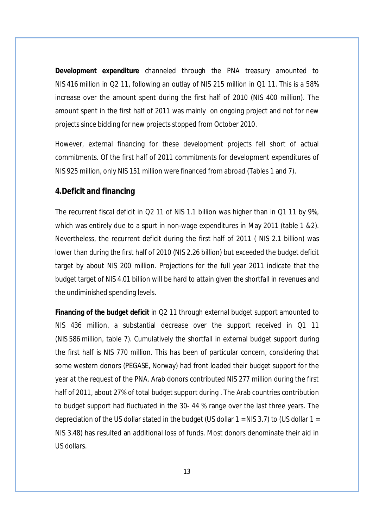**Development expenditure** channeled through the PNA treasury amounted to NIS 416 million in Q2 11, following an outlay of NIS 215 million in Q1 11. This is a 58% increase over the amount spent during the first half of 2010 (NIS 400 million). The amount spent in the first half of 2011 was mainly on ongoing project and not for new projects since bidding for new projects stopped from October 2010.

However, external financing for these development projects fell short of actual commitments. Of the first half of 2011 commitments for development expenditures of NIS 925 million, only NIS 151 million were financed from abroad (Tables 1 and 7).

#### **4.Deficit and financing**

The recurrent fiscal deficit in Q2 11 of NIS 1.1 billion was higher than in Q1 11 by 9%, which was entirely due to a spurt in non-wage expenditures in May 2011 (table 1 &2). Nevertheless, the recurrent deficit during the first half of 2011 ( NIS 2.1 billion) was lower than during the first half of 2010 (NIS 2.26 billion) but exceeded the budget deficit target by about NIS 200 million. Projections for the full year 2011 indicate that the budget target of NIS 4.01 billion will be hard to attain given the shortfall in revenues and the undiminished spending levels.

**Financing of the budget deficit** in Q2 11 through external budget support amounted to NIS 436 million, a substantial decrease over the support received in Q1 11 (NIS 586 million, table 7). Cumulatively the shortfall in external budget support during the first half is NIS 770 million. This has been of particular concern, considering that some western donors (PEGASE, Norway) had front loaded their budget support for the year at the request of the PNA. Arab donors contributed NIS 277 million during the first half of 2011, about 27% of total budget support during . The Arab countries contribution to budget support had fluctuated in the 30- 44 % range over the last three years. The depreciation of the US dollar stated in the budget (US dollar  $1 = NIS 3.7$ ) to (US dollar  $1 =$ NIS 3.48) has resulted an additional loss of funds. Most donors denominate their aid in US dollars.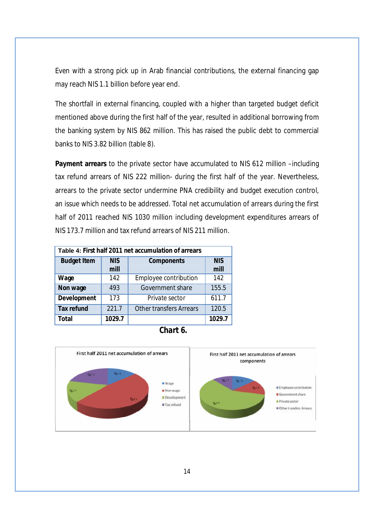Even with a strong pick up in Arab financial contributions, the external financing gap may reach NIS 1.1 billion before year end.

The shortfall in external financing, coupled with a higher than targeted budget deficit mentioned above during the first half of the year, resulted in additional borrowing from the banking system by NIS 862 million. This has raised the public debt to commercial banks to NIS 3.82 billion (table 8).

**Payment arrears** to the private sector have accumulated to NIS 612 million –including tax refund arrears of NIS 222 million- during the first half of the year. Nevertheless, arrears to the private sector undermine PNA credibility and budget execution control, an issue which needs to be addressed. Total net accumulation of arrears during the first half of 2011 reached NIS 1030 million including development expenditures arrears of NIS 173.7 million and tax refund arrears of NIS 211 million.

| Table 4: First half 2011 net accumulation of arrears |                    |                                |                    |  |  |
|------------------------------------------------------|--------------------|--------------------------------|--------------------|--|--|
| <b>Budget Item</b>                                   | <b>NIS</b><br>mill | Components                     | <b>NIS</b><br>mill |  |  |
| Wage                                                 | 142                | Employee contribution          | 142                |  |  |
| Non wage                                             | 493                | Government share               | 155.5              |  |  |
| Development                                          | 173                | Private sector                 | 611.7              |  |  |
| Tax refund                                           | 221.7              | <b>Other transfers Arrears</b> | 120.5              |  |  |
| Total                                                | 1029.7             |                                | 1029.7             |  |  |